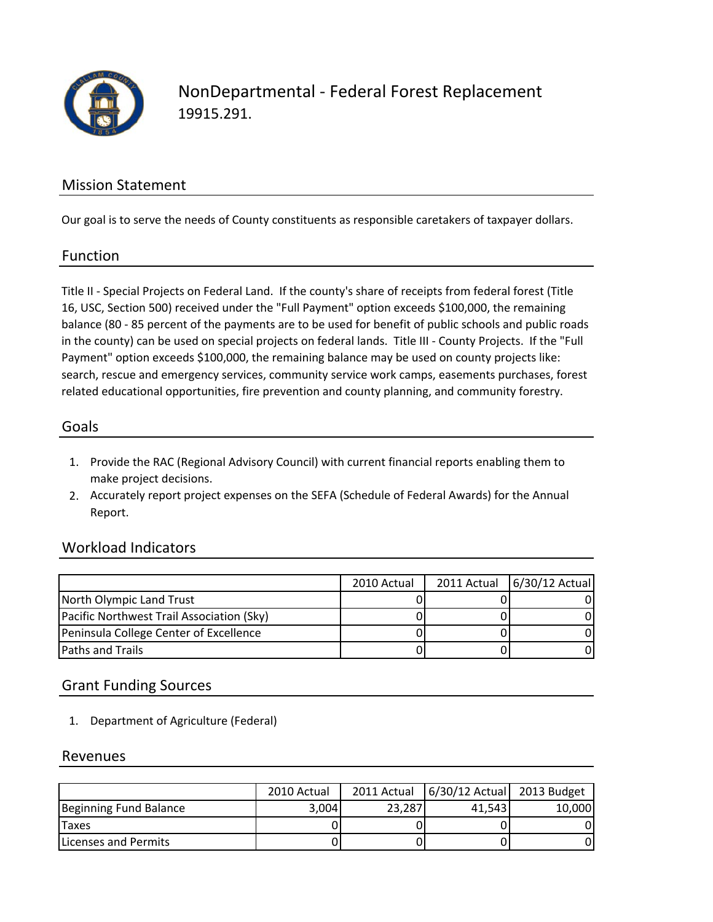

NonDepartmental ‐ Federal Forest Replacement 19915.291.

### Mission Statement

Our goal is to serve the needs of County constituents as responsible caretakers of taxpayer dollars.

#### Function

Title II ‐ Special Projects on Federal Land. If the county's share of receipts from federal forest (Title 16, USC, Section 500) received under the "Full Payment" option exceeds \$100,000, the remaining balance (80 ‐ 85 percent of the payments are to be used for benefit of public schools and public roads in the county) can be used on special projects on federal lands. Title III ‐ County Projects. If the "Full Payment" option exceeds \$100,000, the remaining balance may be used on county projects like: search, rescue and emergency services, community service work camps, easements purchases, forest related educational opportunities, fire prevention and county planning, and community forestry.

#### Goals

- 1. Provide the RAC (Regional Advisory Council) with current financial reports enabling them to make project decisions.
- 2. Accurately report project expenses on the SEFA (Schedule of Federal Awards) for the Annual Report.

## Workload Indicators

|                                           | 2010 Actual | 2011 Actual 6/30/12 Actual |
|-------------------------------------------|-------------|----------------------------|
| North Olympic Land Trust                  |             |                            |
| Pacific Northwest Trail Association (Sky) |             |                            |
| Peninsula College Center of Excellence    |             |                            |
| <b>Paths and Trails</b>                   |             |                            |

## Grant Funding Sources

1. Department of Agriculture (Federal)

#### Revenues

|                        | 2010 Actual | 2011 Actual | 6/30/12 Actual 2013 Budget |        |
|------------------------|-------------|-------------|----------------------------|--------|
| Beginning Fund Balance | 3,004       | 23.287      | 41.543                     | 10,000 |
| Taxes                  |             |             |                            |        |
| Licenses and Permits   |             |             |                            |        |